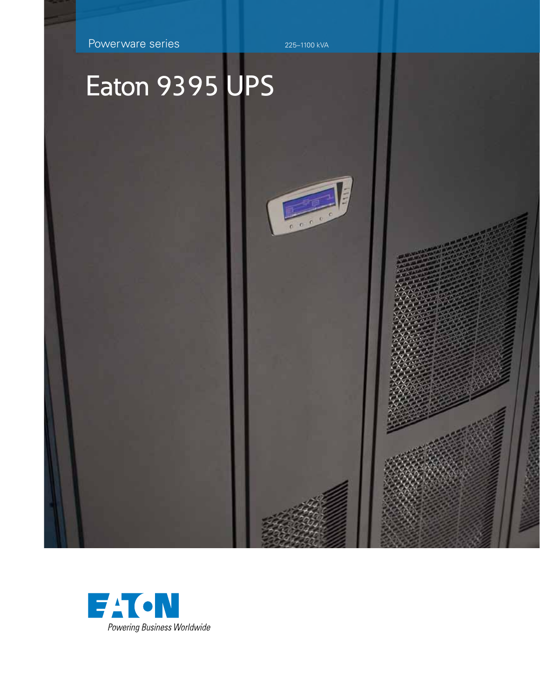Powerware series 225–1100 kVA

三  $rac{1}{100}$ 

# Eaton 9395 UPS

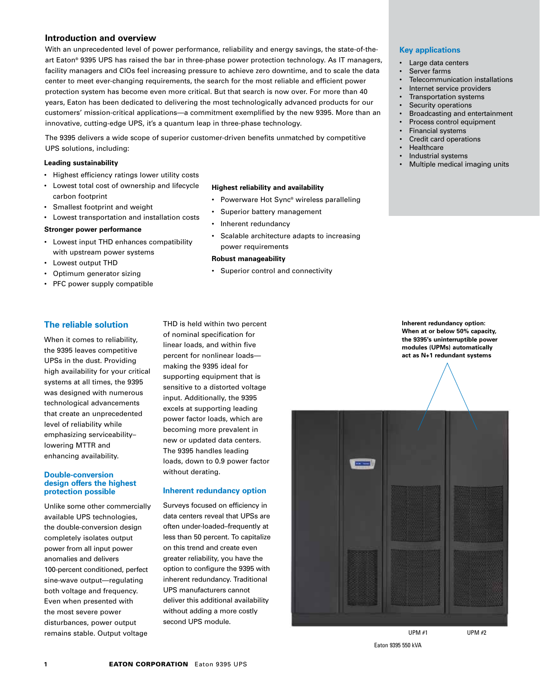#### **Introduction and overview**

With an unprecedented level of power performance, reliability and energy savings, the state-of-theart Eaton® 9395 UPS has raised the bar in three-phase power protection technology. As IT managers, facility managers and CIOs feel increasing pressure to achieve zero downtime, and to scale the data center to meet ever-changing requirements, the search for the most reliable and efficient power protection system has become even more critical. But that search is now over. For more than 40 years, Eaton has been dedicated to delivering the most technologically advanced products for our customers' mission-critical applications—a commitment exemplified by the new 9395. More than an innovative, cutting-edge UPS, it's a quantum leap in three-phase technology.

The 9395 delivers a wide scope of superior customer-driven benefits unmatched by competitive UPS solutions, including:

#### **Leading sustainability**

- • Highest efficiency ratings lower utility costs
- • Lowest total cost of ownership and lifecycle carbon footprint
- • Smallest footprint and weight
- • Lowest transportation and installation costs

#### **Stronger power performance**

- • Lowest input THD enhances compatibility with upstream power systems
- • Lowest output THD
- Optimum generator sizing
- • PFC power supply compatible

#### **Highest reliability and availability**

- • Powerware Hot Sync® wireless paralleling
- Superior battery management
- Inherent redundancy
- • Scalable architecture adapts to increasing power requirements

#### **Robust manageability**

• Superior control and connectivity

#### **Key applications**

- • Large data centers
	- Server farms
	- Telecommunication installations
- Internet service providers
- Transportation systems
- Security operations
- Broadcasting and entertainment
- Process control equipment
- **Financial systems**
- Credit card operations **Healthcare**
- 
- Industrial systems
- Multiple medical imaging units

**The reliable solution**

When it comes to reliability, the 9395 leaves competitive UPSs in the dust. Providing high availability for your critical systems at all times, the 9395 was designed with numerous technological advancements that create an unprecedented level of reliability while emphasizing serviceability– lowering MTTR and enhancing availability.

#### **Double-conversion design offers the highest protection possible**

Unlike some other commercially available UPS technologies, the double-conversion design completely isolates output power from all input power anomalies and delivers 100-percent conditioned, perfect sine-wave output—regulating both voltage and frequency. Even when presented with the most severe power disturbances, power output remains stable. Output voltage

THD is held within two percent of nominal specification for linear loads, and within five percent for nonlinear loads making the 9395 ideal for supporting equipment that is sensitive to a distorted voltage input. Additionally, the 9395 excels at supporting leading power factor loads, which are becoming more prevalent in new or updated data centers. The 9395 handles leading loads, down to 0.9 power factor without derating.

#### **Inherent redundancy option**

Surveys focused on efficiency in data centers reveal that UPSs are often under-loaded–frequently at less than 50 percent. To capitalize on this trend and create even greater reliability, you have the option to configure the 9395 with inherent redundancy. Traditional UPS manufacturers cannot deliver this additional availability without adding a more costly second UPS module.

**Inherent redundancy option: When at or below 50% capacity, the 9395's uninterruptible power modules (UPMs) automatically act as N+1 redundant systems**



Eaton 9395 550 kVA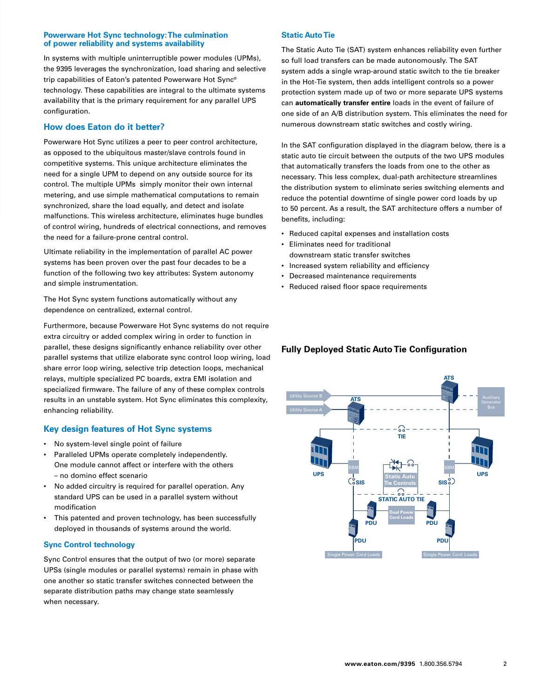#### **Powerware Hot Sync technology: The culmination of power reliability and systems availability**

In systems with multiple uninterruptible power modules (UPMs), the 9395 leverages the synchronization, load sharing and selective trip capabilities of Eaton's patented Powerware Hot Sync® technology. These capabilities are integral to the ultimate systems availability that is the primary requirement for any parallel UPS configuration.

#### **How does Eaton do it better?**

Powerware Hot Sync utilizes a peer to peer control architecture, as opposed to the ubiquitous master/slave controls found in competitive systems. This unique architecture eliminates the need for a single UPM to depend on any outside source for its control. The multiple UPMs simply monitor their own internal metering, and use simple mathematical computations to remain synchronized, share the load equally, and detect and isolate malfunctions. This wireless architecture, eliminates huge bundles of control wiring, hundreds of electrical connections, and removes the need for a failure-prone central control.

Ultimate reliability in the implementation of parallel AC power systems has been proven over the past four decades to be a function of the following two key attributes: System autonomy and simple instrumentation.

The Hot Sync system functions automatically without any dependence on centralized, external control.

Furthermore, because Powerware Hot Sync systems do not require extra circuitry or added complex wiring in order to function in parallel, these designs significantly enhance reliability over other parallel systems that utilize elaborate sync control loop wiring, load share error loop wiring, selective trip detection loops, mechanical relays, multiple specialized PC boards, extra EMI isolation and specialized firmware. The failure of any of these complex controls **The Statical Section Contract Synch eliminates this complexity, ALCONG CONSIDER STATIGERS WITH AUXILIARY STATIC CONSIDERATION CONSIDERATION CONSIDERATION CONSIDERATION CONSIDERATION CONSIDERATION CONSIDERATION CONSIDERATI** enhancing reliability.

#### **Key design features of Hot Sync systems**

- • No system-level single point of failure
- Paralleled UPMs operate completely independently. One module cannot affect or interfere with the others – no domino effect scenario
- No added circuitry is required for parallel operation. Any standard UPS can be used in a parallel system without modification
- This patented and proven technology, has been successfully deployed in thousands of systems around the world.

#### **Sync Control technology**

Sync Control ensures that the output of two (or more) separate UPSs (single modules or parallel systems) remain in phase with one another so static transfer switches connected between the separate distribution paths may change state seamlessly when necessary.

#### **Static Auto Tie**

The Static Auto Tie (SAT) system enhances reliability even further so full load transfers can be made autonomously. The SAT system adds a single wrap-around static switch to the tie breaker in the Hot-Tie system, then adds intelligent controls so a power protection system made up of two or more separate UPS systems can **automatically transfer entire** loads in the event of failure of one side of an A/B distribution system. This eliminates the need for numerous downstream static switches and costly wiring.

In the SAT configuration displayed in the diagram below, there is a static auto tie circuit between the outputs of the two UPS modules that automatically transfers the loads from one to the other as necessary. This less complex, dual-path architecture streamlines the distribution system to eliminate series switching elements and reduce the potential downtime of single power cord loads by up to 50 percent. As a result, the SAT architecture offers a number of benefits, including:

- Reduced capital expenses and installation costs
- • Eliminates need for traditional downstream static transfer switches
- • Increased system reliability and efficiency
- • Decreased maintenance requirements
- • Reduced raised floor space requirements

## **Fully Deployed Static Auto Tie Configuration**

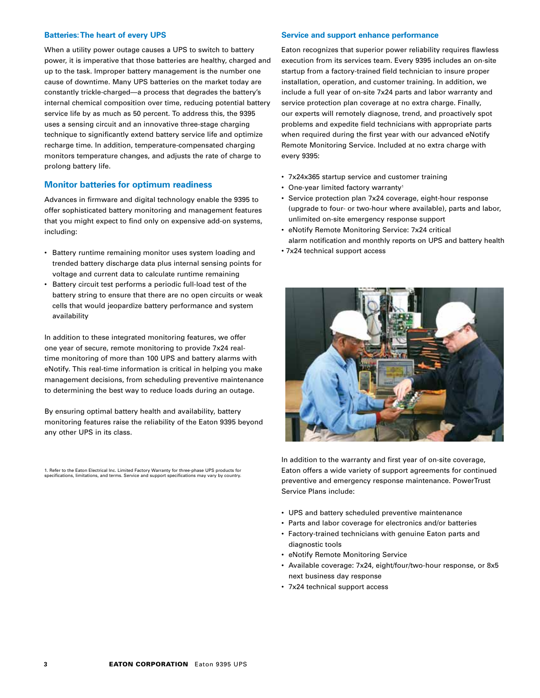#### **Batteries: The heart of every UPS**

When a utility power outage causes a UPS to switch to battery power, it is imperative that those batteries are healthy, charged and up to the task. Improper battery management is the number one cause of downtime. Many UPS batteries on the market today are constantly trickle-charged—a process that degrades the battery's internal chemical composition over time, reducing potential battery service life by as much as 50 percent. To address this, the 9395 uses a sensing circuit and an innovative three-stage charging technique to significantly extend battery service life and optimize recharge time. In addition, temperature-compensated charging monitors temperature changes, and adjusts the rate of charge to prolong battery life.

#### **Monitor batteries for optimum readiness**

Advances in firmware and digital technology enable the 9395 to offer sophisticated battery monitoring and management features that you might expect to find only on expensive add-on systems, including:

- Battery runtime remaining monitor uses system loading and trended battery discharge data plus internal sensing points for voltage and current data to calculate runtime remaining
- • Battery circuit test performs a periodic full-load test of the battery string to ensure that there are no open circuits or weak cells that would jeopardize battery performance and system availability

In addition to these integrated monitoring features, we offer one year of secure, remote monitoring to provide 7x24 realtime monitoring of more than 100 UPS and battery alarms with eNotify. This real-time information is critical in helping you make management decisions, from scheduling preventive maintenance to determining the best way to reduce loads during an outage.

By ensuring optimal battery health and availability, battery monitoring features raise the reliability of the Eaton 9395 beyond any other UPS in its class.

1. Refer to the Eaton Electrical Inc. Limited Factory Warranty for three-phase UPS products for specifications, limitations, and terms. Service and support specifications may vary by country.

#### **Service and support enhance performance**

Eaton recognizes that superior power reliability requires flawless execution from its services team. Every 9395 includes an on-site startup from a factory-trained field technician to insure proper installation, operation, and customer training. In addition, we include a full year of on-site 7x24 parts and labor warranty and service protection plan coverage at no extra charge. Finally, our experts will remotely diagnose, trend, and proactively spot problems and expedite field technicians with appropriate parts when required during the first year with our advanced eNotify Remote Monitoring Service. Included at no extra charge with every 9395:

- 7x24x365 startup service and customer training
- One-year limited factory warranty<sup>1</sup>
- Service protection plan 7x24 coverage, eight-hour response (upgrade to four- or two-hour where available), parts and labor, unlimited on-site emergency response support
- eNotify Remote Monitoring Service: 7x24 critical alarm notification and monthly reports on UPS and battery health
- 7x24 technical support access



In addition to the warranty and first year of on-site coverage, Eaton offers a wide variety of support agreements for continued preventive and emergency response maintenance. PowerTrust Service Plans include:

- UPS and battery scheduled preventive maintenance
- Parts and labor coverage for electronics and/or batteries
- • Factory-trained technicians with genuine Eaton parts and diagnostic tools
- • eNotify Remote Monitoring Service
- Available coverage: 7x24, eight/four/two-hour response, or 8x5 next business day response
- • 7x24 technical support access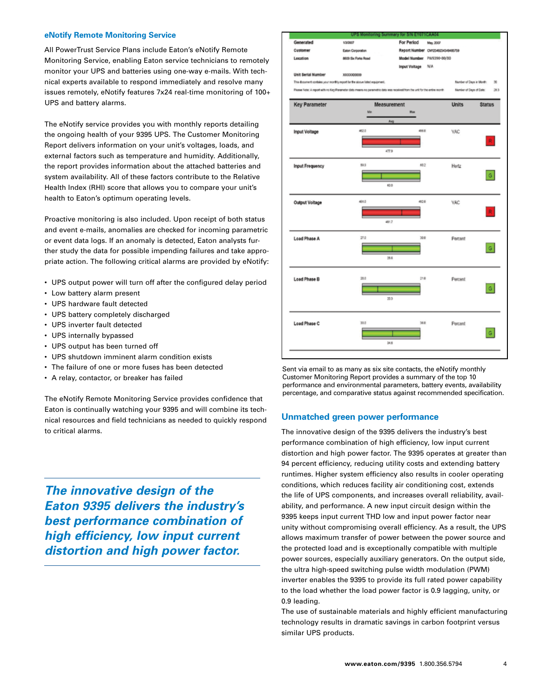#### **eNotify Remote Monitoring Service**

All PowerTrust Service Plans include Eaton's eNotify Remote Monitoring Service, enabling Eaton service technicians to remotely monitor your UPS and batteries using one-way e-mails. With technical experts available to respond immediately and resolve many issues remotely, eNotify features 7x24 real-time monitoring of 100+ UPS and battery alarms.

The eNotify service provides you with monthly reports detailing the ongoing health of your 9395 UPS. The Customer Monitoring Report delivers information on your unit's voltages, loads, and external factors such as temperature and humidity. Additionally, the report provides information about the attached batteries and system availability. All of these factors contribute to the Relative Health Index (RHI) score that allows you to compare your unit's health to Eaton's optimum operating levels.

Proactive monitoring is also included. Upon receipt of both status and event e-mails, anomalies are checked for incoming parametric or event data logs. If an anomaly is detected, Eaton analysts further study the data for possible impending failures and take appropriate action. The following critical alarms are provided by eNotify:

- UPS output power will turn off after the configured delay period
- • Low battery alarm present
- • UPS hardware fault detected
- UPS battery completely discharged
- • UPS inverter fault detected
- • UPS internally bypassed
- UPS output has been turned off
- UPS shutdown imminent alarm condition exists
- The failure of one or more fuses has been detected
- A relay, contactor, or breaker has failed

The eNotify Remote Monitoring Service provides confidence that Eaton is continually watching your 9395 and will combine its technical resources and field technicians as needed to quickly respond to critical alarms.

*The innovative design of the Eaton 9395 delivers the industry's best performance combination of high efficiency, low input current distortion and high power factor.*



Sent via email to as many as six site contacts, the eNotify monthly Customer Monitoring Report provides a summary of the top 10 performance and environmental parameters, battery events, availability percentage, and comparative status against recommended specification.

#### **Unmatched green power performance**

The innovative design of the 9395 delivers the industry's best performance combination of high efficiency, low input current distortion and high power factor. The 9395 operates at greater than 94 percent efficiency, reducing utility costs and extending battery runtimes. Higher system efficiency also results in cooler operating conditions, which reduces facility air conditioning cost, extends the life of UPS components, and increases overall reliability, availability, and performance. A new input circuit design within the 9395 keeps input current THD low and input power factor near unity without compromising overall efficiency. As a result, the UPS allows maximum transfer of power between the power source and the protected load and is exceptionally compatible with multiple power sources, especially auxiliary generators. On the output side, the ultra high-speed switching pulse width modulation (PWM) inverter enables the 9395 to provide its full rated power capability to the load whether the load power factor is 0.9 lagging, unity, or 0.9 leading.

The use of sustainable materials and highly efficient manufacturing technology results in dramatic savings in carbon footprint versus similar UPS products.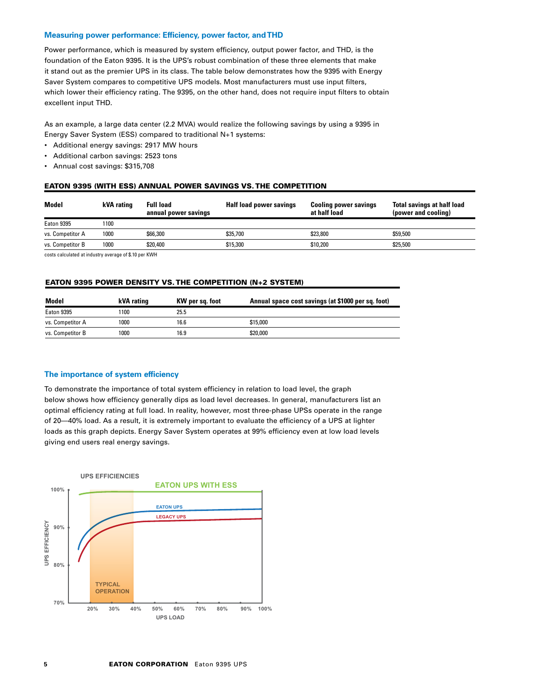#### **Measuring power performance: Efficiency, power factor, and THD**

Power performance, which is measured by system efficiency, output power factor, and THD, is the foundation of the Eaton 9395. It is the UPS's robust combination of these three elements that make it stand out as the premier UPS in its class. The table below demonstrates how the 9395 with Energy Saver System compares to competitive UPS models. Most manufacturers must use input filters, which lower their efficiency rating. The 9395, on the other hand, does not require input filters to obtain excellent input THD.

As an example, a large data center (2.2 MVA) would realize the following savings by using a 9395 in Energy Saver System (ESS) compared to traditional N+1 systems:

- • Additional energy savings: 2917 MW hours
- • Additional carbon savings: 2523 tons
- • Annual cost savings: \$315,708

#### Eaton 9395 (with ESS) ANNUAL Power SAVINGS vs. The Competition

| Model             | kVA rating | <b>Full load</b><br>annual power savings | Half load power savings | <b>Cooling power savings</b><br>at half load | <b>Total savings at half load</b><br>(power and cooling) |
|-------------------|------------|------------------------------------------|-------------------------|----------------------------------------------|----------------------------------------------------------|
| <b>Eaton 9395</b> | 1100       |                                          |                         |                                              |                                                          |
| vs. Competitor A  | 1000       | \$66,300                                 | \$35,700                | \$23,800                                     | \$59.500                                                 |
| vs. Competitor B  | 1000       | \$20,400                                 | \$15,300                | \$10,200                                     | \$25,500                                                 |

costs calculated at industry average of \$.10 per KWH

#### Eaton 9395 Power density vs. The competition (N+2 System)

| Model             | kVA rating | KW per sq. foot | Annual space cost savings (at \$1000 per sq. foot) |
|-------------------|------------|-----------------|----------------------------------------------------|
| <b>Eaton 9395</b> | 1100       | 25.5            |                                                    |
| vs. Competitor A  | 1000       | 16.6            | \$15,000                                           |
| vs. Competitor B  | 1000       | 16.9            | \$20,000                                           |

#### **The importance of system efficiency**

To demonstrate the importance of total system efficiency in relation to load level, the graph below shows how efficiency generally dips as load level decreases. In general, manufacturers list an optimal efficiency rating at full load. In reality, however, most three-phase UPSs operate in the range of 20—40% load. As a result, it is extremely important to evaluate the efficiency of a UPS at lighter loads as this graph depicts. Energy Saver System operates at 99% efficiency even at low load levels giving end users real energy savings.

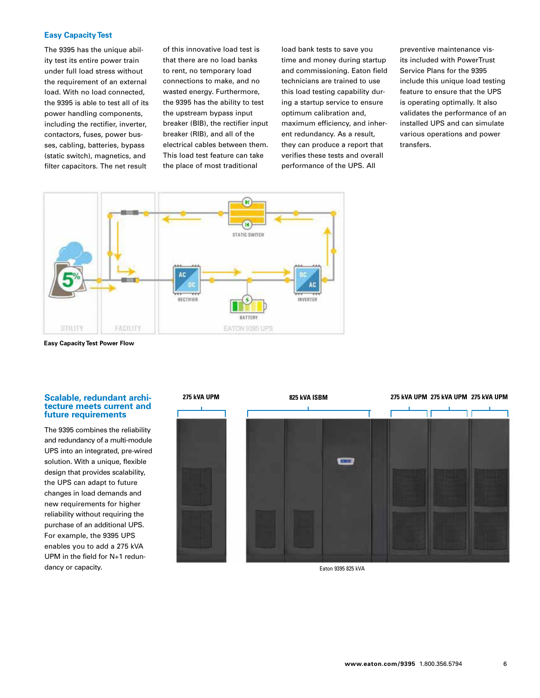#### **Easy Capacity Test**

The 9395 has the unique ability test its entire power train under full load stress without the requirement of an external load. With no load connected, the 9395 is able to test all of its power handling components, including the rectifier, inverter, contactors, fuses, power busses, cabling, batteries, bypass (static switch), magnetics, and filter capacitors. The net result

of this innovative load test is that there are no load banks to rent, no temporary load connections to make, and no wasted energy. Furthermore, the 9395 has the ability to test the upstream bypass input breaker (BIB), the rectifier input breaker (RIB), and all of the electrical cables between them. This load test feature can take the place of most traditional

load bank tests to save you time and money during startup and commissioning. Eaton field technicians are trained to use this load testing capability during a startup service to ensure optimum calibration and, maximum efficiency, and inherent redundancy. As a result, they can produce a report that verifies these tests and overall performance of the UPS. All

preventive maintenance visits included with PowerTrust Service Plans for the 9395 include this unique load testing feature to ensure that the UPS is operating optimally. It also validates the performance of an installed UPS and can simulate various operations and power transfers.



**Easy Capacity Test Power Flow**

## **Scalable, redundant archi- tecture meets current and future requirements**

The 9395 combines the reliability and redundancy of a multi-module UPS into an integrated, pre-wired solution. With a unique, flexible design that provides scalability, the UPS can adapt to future changes in load demands and new requirements for higher reliability without requiring the purchase of an additional UPS. For example, the 9395 UPS enables you to add a 275 kVA UPM in the field for N+1 redundancy or capacity.



Eaton 9395 825 kVA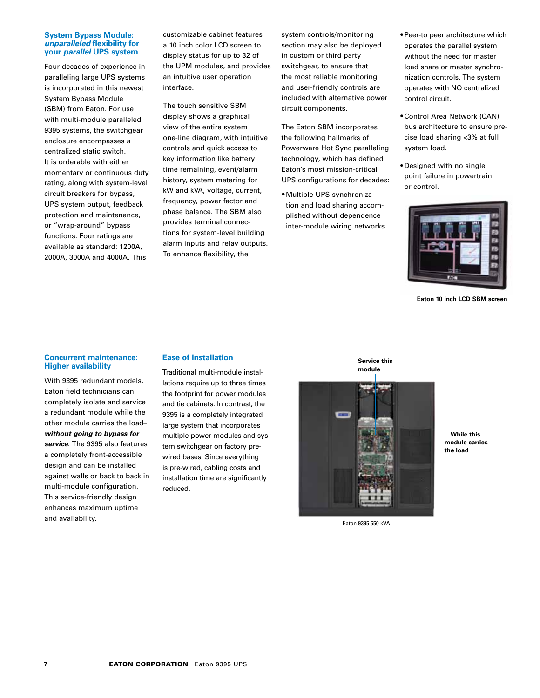#### **System Bypass Module:**  *unparalleled* **flexibility for your** *parallel* **UPS system**

Four decades of experience in paralleling large UPS systems is incorporated in this newest System Bypass Module (SBM) from Eaton. For use with multi-module paralleled 9395 systems, the switchgear enclosure encompasses a centralized static switch. It is orderable with either momentary or continuous duty rating, along with system-level circuit breakers for bypass, UPS system output, feedback protection and maintenance, or "wrap-around" bypass functions. Four ratings are available as standard: 1200A, 2000A, 3000A and 4000A. This

customizable cabinet features a 10 inch color LCD screen to display status for up to 32 of the UPM modules, and provides an intuitive user operation interface.

The touch sensitive SBM display shows a graphical view of the entire system one-line diagram, with intuitive controls and quick access to key information like battery time remaining, event/alarm history, system metering for kW and kVA, voltage, current, frequency, power factor and phase balance. The SBM also provides terminal connections for system-level building alarm inputs and relay outputs. To enhance flexibility, the

system controls/monitoring section may also be deployed in custom or third party switchgear, to ensure that the most reliable monitoring and user-friendly controls are included with alternative power circuit components.

The Eaton SBM incorporates the following hallmarks of Powerware Hot Sync paralleling technology, which has defined Eaton's most mission-critical UPS configurations for decades:

• Multiple UPS synchronization and load sharing accomplished without dependence inter-module wiring networks.

- •Peer-to peer architecture which operates the parallel system without the need for master load share or master synchronization controls. The system operates with NO centralized control circuit.
- •Control Area Network (CAN) bus architecture to ensure precise load sharing <3% at full system load.
- • Designed with no single point failure in powertrain or control.



**Eaton 10 inch LCD SBM screen**

#### **Concurrent maintenance: Higher availability**

With 9395 redundant models, Eaton field technicians can completely isolate and service a redundant module while the other module carries the load– *without going to bypass for service*. The 9395 also features a completely front-accessible design and can be installed against walls or back to back in multi-module configuration. This service-friendly design enhances maximum uptime and availability.

#### **Ease of installation**

Traditional multi-module installations require up to three times the footprint for power modules and tie cabinets. In contrast, the 9395 is a completely integrated large system that incorporates multiple power modules and system switchgear on factory prewired bases. Since everything is pre-wired, cabling costs and installation time are significantly reduced.

**Service this module**



**…While this module carries the load**

Eaton 9395 550 kVA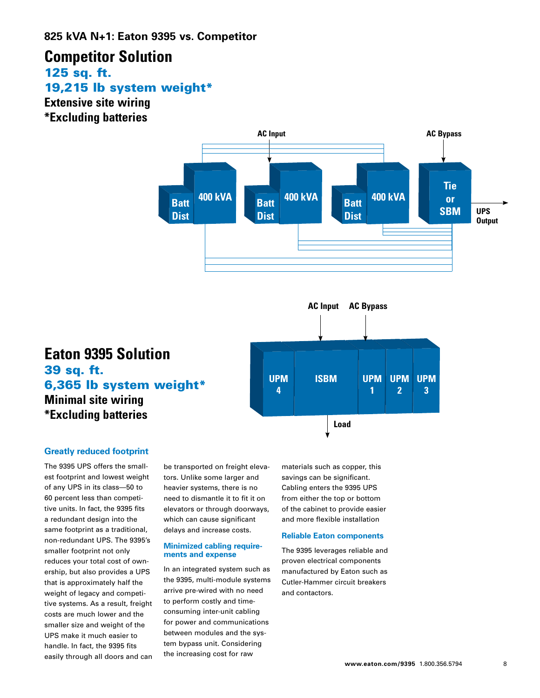# **Competitor Solution** 125 sq. ft. 19,215 lb system weight\*

**Extensive site wiring \*Excluding batteries**



#### **UPM 3 UPM 4 UPM 1 UPM 2 UPM 3 ISBM AC Input AC Bypass Load Eaton 9395 Solution** 39 sq. ft. 6,365 lb system weight\* **Minimal site wiring \*Excluding batteries**

## **Greatly reduced footprint**

The 9395 UPS offers the smallest footprint and lowest weight of any UPS in its class—50 to 60 percent less than competitive units. In fact, the 9395 fits a redundant design into the same footprint as a traditional, non-redundant UPS. The 9395's smaller footprint not only reduces your total cost of ownership, but also provides a UPS that is approximately half the weight of legacy and competitive systems. As a result, freight costs are much lower and the smaller size and weight of the UPS make it much easier to handle. In fact, the 9395 fits easily through all doors and can

be transported on freight elevators. Unlike some larger and heavier systems, there is no need to dismantle it to fit it on elevators or through doorways, which can cause significant delays and increase costs.

#### **Minimized cabling requirements and expense**

In an integrated system such as the 9395, multi-module systems arrive pre-wired with no need to perform costly and timeconsuming inter-unit cabling for power and communications between modules and the system bypass unit. Considering the increasing cost for raw

materials such as copper, this savings can be significant. Cabling enters the 9395 UPS from either the top or bottom of the cabinet to provide easier and more flexible installation

#### **Reliable Eaton components**

The 9395 leverages reliable and proven electrical components manufactured by Eaton such as Cutler-Hammer circuit breakers and contactors.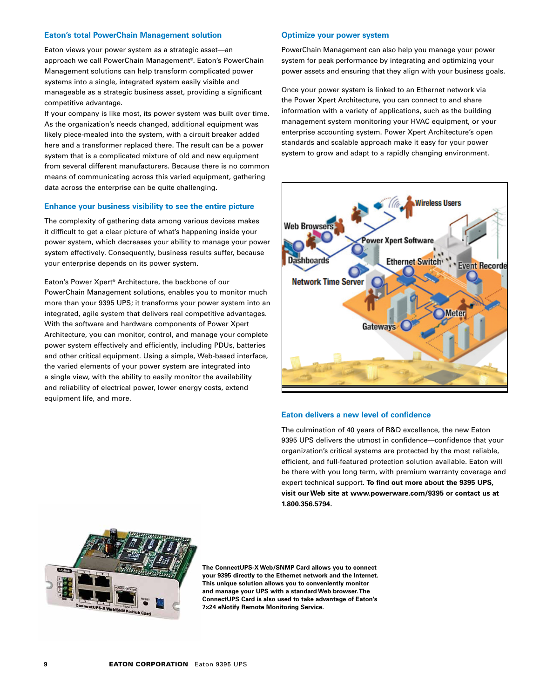#### **Eaton's total PowerChain Management solution**

Eaton views your power system as a strategic asset—an approach we call PowerChain Management®. Eaton's PowerChain Management solutions can help transform complicated power systems into a single, integrated system easily visible and manageable as a strategic business asset, providing a significant competitive advantage.

If your company is like most, its power system was built over time. As the organization's needs changed, additional equipment was likely piece-mealed into the system, with a circuit breaker added here and a transformer replaced there. The result can be a power system that is a complicated mixture of old and new equipment from several different manufacturers. Because there is no common means of communicating across this varied equipment, gathering data across the enterprise can be quite challenging.

#### **Enhance your business visibility to see the entire picture**

The complexity of gathering data among various devices makes it difficult to get a clear picture of what's happening inside your power system, which decreases your ability to manage your power system effectively. Consequently, business results suffer, because your enterprise depends on its power system.

Eaton's Power Xpert® Architecture, the backbone of our PowerChain Management solutions, enables you to monitor much more than your 9395 UPS; it transforms your power system into an integrated, agile system that delivers real competitive advantages. With the software and hardware components of Power Xpert Architecture, you can monitor, control, and manage your complete power system effectively and efficiently, including PDUs, batteries and other critical equipment. Using a simple, Web-based interface, the varied elements of your power system are integrated into a single view, with the ability to easily monitor the availability and reliability of electrical power, lower energy costs, extend equipment life, and more.

#### **Optimize your power system**

PowerChain Management can also help you manage your power system for peak performance by integrating and optimizing your power assets and ensuring that they align with your business goals.

Once your power system is linked to an Ethernet network via the Power Xpert Architecture, you can connect to and share information with a variety of applications, such as the building management system monitoring your HVAC equipment, or your enterprise accounting system. Power Xpert Architecture's open standards and scalable approach make it easy for your power system to grow and adapt to a rapidly changing environment.



#### **Eaton delivers a new level of confidence**

The culmination of 40 years of R&D excellence, the new Eaton 9395 UPS delivers the utmost in confidence—confidence that your organization's critical systems are protected by the most reliable, efficient, and full-featured protection solution available. Eaton will be there with you long term, with premium warranty coverage and expert technical support. **To find out more about the 9395 UPS, visit our Web site at www.powerware.com/9395 or contact us at 1.800.356.5794.**



**The ConnectUPS-X Web/SNMP Card allows you to connect your 9395 directly to the Ethernet network and the Internet. This unique solution allows you to conveniently monitor and manage your UPS with a standard Web browser. The ConnectUPS Card is also used to take advantage of Eaton's 7x24 eNotify Remote Monitoring Service.**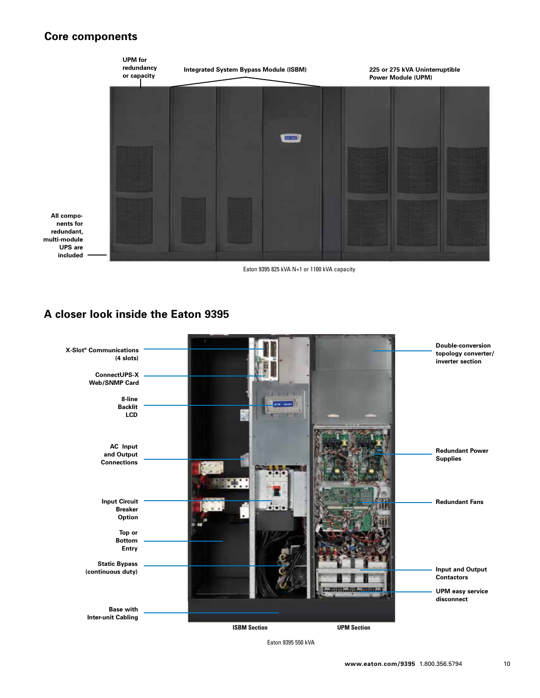## **Core components**



## **A closer look inside the Eaton 9395**



Eaton 9395 550 kVA